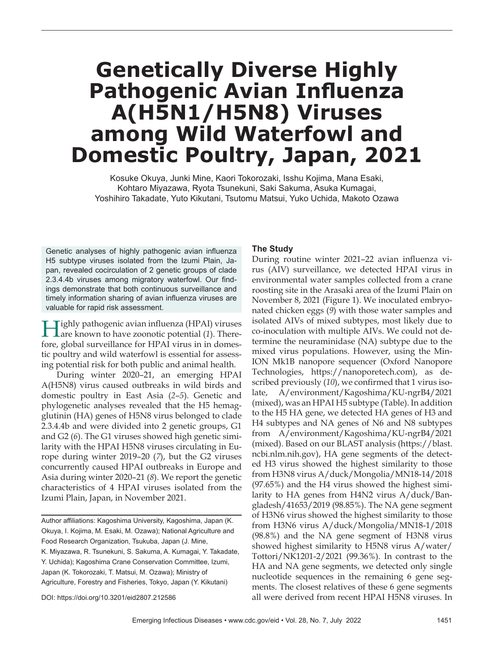# **Genetically Diverse Highly Pathogenic Avian Influenza A(H5N1/H5N8) Viruses among Wild Waterfowl and Domestic Poultry, Japan, 2021**

Kosuke Okuya, Junki Mine, Kaori Tokorozaki, Isshu Kojima, Mana Esaki, Kohtaro Miyazawa, Ryota Tsunekuni, Saki Sakuma, Asuka Kumagai, Yoshihiro Takadate, Yuto Kikutani, Tsutomu Matsui, Yuko Uchida, Makoto Ozawa

Genetic analyses of highly pathogenic avian influenza H5 subtype viruses isolated from the Izumi Plain, Japan, revealed cocirculation of 2 genetic groups of clade 2.3.4.4b viruses among migratory waterfowl. Our findings demonstrate that both continuous surveillance and timely information sharing of avian influenza viruses are valuable for rapid risk assessment.

**Tighly pathogenic avian influenza (HPAI) viruses** Lare known to have zoonotic potential (1). Therefore, global surveillance for HPAI virus in in domestic poultry and wild waterfowl is essential for assessing potential risk for both public and animal health.

During winter 2020–21, an emerging HPAI A(H5N8) virus caused outbreaks in wild birds and domestic poultry in East Asia (*2*–*5*). Genetic and phylogenetic analyses revealed that the H5 hemagglutinin (HA) genes of H5N8 virus belonged to clade 2.3.4.4b and were divided into 2 genetic groups, G1 and G2 (*6*). The G1 viruses showed high genetic similarity with the HPAI H5N8 viruses circulating in Europe during winter 2019–20 (*7*), but the G2 viruses concurrently caused HPAI outbreaks in Europe and Asia during winter 2020–21 (*8*). We report the genetic characteristics of 4 HPAI viruses isolated from the Izumi Plain, Japan, in November 2021.

Author affiliations: Kagoshima University, Kagoshima, Japan (K. Okuya, I. Kojima, M. Esaki, M. Ozawa); National Agriculture and Food Research Organization, Tsukuba, Japan (J. Mine, K. Miyazawa, R. Tsunekuni, S. Sakuma, A. Kumagai, Y. Takadate, Y. Uchida); Kagoshima Crane Conservation Committee, Izumi, Japan (K. Tokorozaki, T. Matsui, M. Ozawa); Ministry of Agriculture, Forestry and Fisheries, Tokyo, Japan (Y. Kikutani)

#### **The Study**

During routine winter 2021–22 avian influenza virus (AIV) surveillance, we detected HPAI virus in environmental water samples collected from a crane roosting site in the Arasaki area of the Izumi Plain on November 8, 2021 (Figure 1). We inoculated embryonated chicken eggs (*9*) with those water samples and isolated AIVs of mixed subtypes, most likely due to co-inoculation with multiple AIVs. We could not determine the neuraminidase (NA) subtype due to the mixed virus populations. However, using the Min-ION Mk1B nanopore sequencer (Oxford Nanopore Technologies, https://nanoporetech.com), as described previously (*10*), we confirmed that 1 virus isolate, A/environment/Kagoshima/KU-ngrB4/2021 (mixed), was an HPAI H5 subtype (Table). In addition to the H5 HA gene, we detected HA genes of H3 and H4 subtypes and NA genes of N6 and N8 subtypes from A/environment/Kagoshima/KU-ngrB4/2021 (mixed). Based on our BLAST analysis (https://blast. ncbi.nlm.nih.gov), HA gene segments of the detected H3 virus showed the highest similarity to those from H3N8 virus A/duck/Mongolia/MN18-14/2018 (97.65%) and the H4 virus showed the highest similarity to HA genes from H4N2 virus A/duck/Bangladesh/41653/2019 (98.85%). The NA gene segment of H3N6 virus showed the highest similarity to those from H3N6 virus A/duck/Mongolia/MN18-1/2018 (98.8%) and the NA gene segment of H3N8 virus showed highest similarity to H5N8 virus A/water/ Tottori/NK1201-2/2021 (99.36%). In contrast to the HA and NA gene segments, we detected only single nucleotide sequences in the remaining 6 gene segments. The closest relatives of these 6 gene segments all were derived from recent HPAI H5N8 viruses. In

DOI: https://doi.org/10.3201/eid2807.212586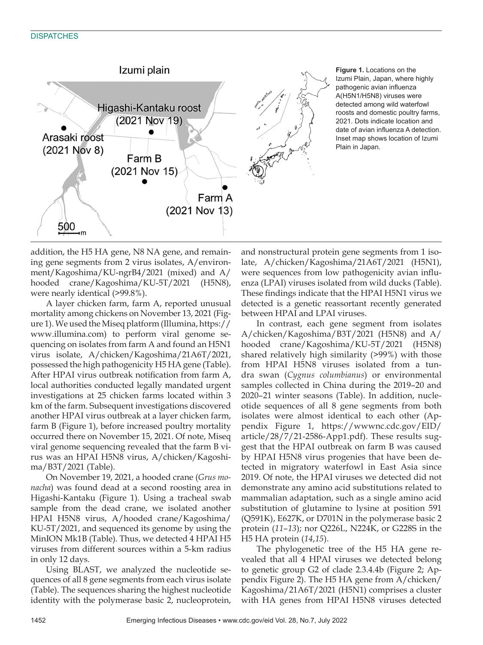### **DISPATCHES**



**Figure 1.** Locations on the Izumi Plain, Japan, where highly pathogenic avian influenza A(H5N1/H5N8) viruses were detected among wild waterfowl roosts and domestic poultry farms, 2021. Dots indicate location and date of avian influenza A detection. Inset map shows location of Izumi Plain in Japan.

addition, the H5 HA gene, N8 NA gene, and remaining gene segments from 2 virus isolates, A/environment/Kagoshima/KU-ngrB4/2021 (mixed) and A/ hooded crane/Kagoshima/KU-5T/2021 (H5N8), were nearly identical (>99.8%).

A layer chicken farm, farm A, reported unusual mortality among chickens on November 13, 2021 (Figure 1). We used the Miseq platform (Illumina, https:// www.illumina.com) to perform viral genome sequencing on isolates from farm A and found an H5N1 virus isolate, A/chicken/Kagoshima/21A6T/2021, possessed the high pathogenicity H5 HA gene (Table). After HPAI virus outbreak notification from farm A, local authorities conducted legally mandated urgent investigations at 25 chicken farms located within 3 km of the farm. Subsequent investigations discovered another HPAI virus outbreak at a layer chicken farm, farm B (Figure 1), before increased poultry mortality occurred there on November 15, 2021. Of note, Miseq viral genome sequencing revealed that the farm B virus was an HPAI H5N8 virus, A/chicken/Kagoshima/B3T/2021 (Table).

On November 19, 2021, a hooded crane (*Grus monacha*) was found dead at a second roosting area in Higashi-Kantaku (Figure 1). Using a tracheal swab sample from the dead crane, we isolated another HPAI H5N8 virus, A/hooded crane/Kagoshima/ KU-5T/2021, and sequenced its genome by using the MinION Mk1B (Table). Thus, we detected 4 HPAI H5 viruses from different sources within a 5-km radius in only 12 days.

Using BLAST, we analyzed the nucleotide sequences of all 8 gene segments from each virus isolate (Table). The sequences sharing the highest nucleotide identity with the polymerase basic 2, nucleoprotein,

and nonstructural protein gene segments from 1 isolate, A/chicken/Kagoshima/21A6T/2021 (H5N1), were sequences from low pathogenicity avian influenza (LPAI) viruses isolated from wild ducks (Table). These findings indicate that the HPAI H5N1 virus we detected is a genetic reassortant recently generated between HPAI and LPAI viruses.

In contrast, each gene segment from isolates A/chicken/Kagoshima/B3T/2021 (H5N8) and A/ hooded crane/Kagoshima/KU-5T/2021 (H5N8) shared relatively high similarity (>99%) with those from HPAI H5N8 viruses isolated from a tundra swan (*Cygnus columbianus*) or environmental samples collected in China during the 2019–20 and 2020–21 winter seasons (Table). In addition, nucleotide sequences of all 8 gene segments from both isolates were almost identical to each other (Appendix Figure 1, https://wwwnc.cdc.gov/EID/ article/28/7/21-2586-App1.pdf). These results suggest that the HPAI outbreak on farm B was caused by HPAI H5N8 virus progenies that have been detected in migratory waterfowl in East Asia since 2019. Of note, the HPAI viruses we detected did not demonstrate any amino acid substitutions related to mammalian adaptation, such as a single amino acid substitution of glutamine to lysine at position 591 (Q591K), E627K, or D701N in the polymerase basic 2 protein (*11*–*13*); nor Q226L, N224K, or G228S in the H5 HA protein (*14*,*15*).

The phylogenetic tree of the H5 HA gene revealed that all 4 HPAI viruses we detected belong to genetic group G2 of clade 2.3.4.4b (Figure 2; Appendix Figure 2). The H5 HA gene from A/chicken/ Kagoshima/21A6T/2021 (H5N1) comprises a cluster with HA genes from HPAI H5N8 viruses detected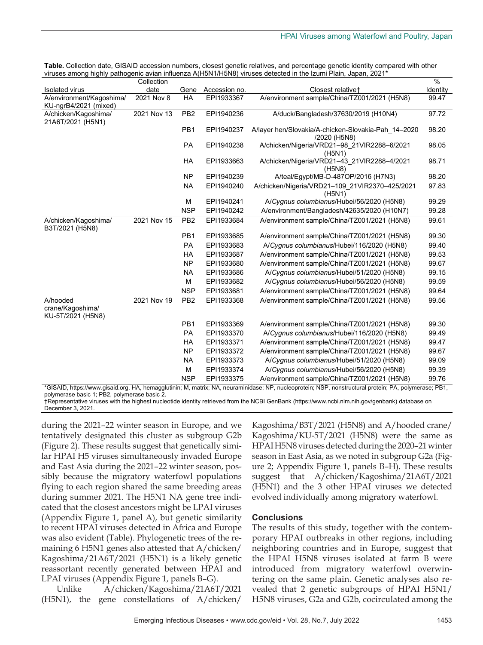|                                                                                                                                              | Collection  |                 |               |                                                                     | %        |
|----------------------------------------------------------------------------------------------------------------------------------------------|-------------|-----------------|---------------|---------------------------------------------------------------------|----------|
| Isolated virus                                                                                                                               | date        | Gene            | Accession no. | Closest relative+                                                   | Identity |
| A/environment/Kagoshima/<br>KU-ngrB4/2021 (mixed)                                                                                            | 2021 Nov 8  | HA              | EPI1933367    | A/environment sample/China/TZ001/2021 (H5N8)                        | 99.47    |
| A/chicken/Kagoshima/<br>21A6T/2021 (H5N1)                                                                                                    | 2021 Nov 13 | PB <sub>2</sub> | EPI1940236    | A/duck/Bangladesh/37630/2019 (H10N4)                                | 97.72    |
|                                                                                                                                              |             | PB1             | EPI1940237    | A/layer hen/Slovakia/A-chicken-Slovakia-Pah 14-2020<br>/2020 (H5N8) | 98.20    |
|                                                                                                                                              |             | <b>PA</b>       | EPI1940238    | A/chicken/Nigeria/VRD21-98 21VIR2288-6/2021<br>(H5N1)               | 98.05    |
|                                                                                                                                              |             | HA              | EPI1933663    | A/chicken/Nigeria/VRD21-43 21VIR2288-4/2021<br>(H5N8)               | 98.71    |
|                                                                                                                                              |             | <b>NP</b>       | EPI1940239    | A/teal/Egypt/MB-D-487OP/2016 (H7N3)                                 | 98.20    |
|                                                                                                                                              |             | <b>NA</b>       | EPI1940240    | A/chicken/Nigeria/VRD21-109 21VIR2370-425/2021<br>(H5N1)            | 97.83    |
|                                                                                                                                              |             | М               | EPI1940241    | A/Cygnus columbianus/Hubei/56/2020 (H5N8)                           | 99.29    |
|                                                                                                                                              |             | <b>NSP</b>      | EPI1940242    | A/environment/Bangladesh/42635/2020 (H10N7)                         | 99.28    |
| A/chicken/Kagoshima/<br>B3T/2021 (H5N8)                                                                                                      | 2021 Nov 15 | PB <sub>2</sub> | EPI1933684    | A/environment sample/China/TZ001/2021 (H5N8)                        | 99.61    |
|                                                                                                                                              |             | PB <sub>1</sub> | EPI1933685    | A/environment sample/China/TZ001/2021 (H5N8)                        | 99.30    |
|                                                                                                                                              |             | <b>PA</b>       | EPI1933683    | A/Cygnus columbianus/Hubei/116/2020 (H5N8)                          | 99.40    |
|                                                                                                                                              |             | <b>HA</b>       | EPI1933687    | A/environment sample/China/TZ001/2021 (H5N8)                        | 99.53    |
|                                                                                                                                              |             | <b>NP</b>       | EPI1933680    | A/environment sample/China/TZ001/2021 (H5N8)                        | 99.67    |
|                                                                                                                                              |             | <b>NA</b>       | EPI1933686    | A/Cygnus columbianus/Hubei/51/2020 (H5N8)                           | 99.15    |
|                                                                                                                                              |             | М               | EPI1933682    | A/Cygnus columbianus/Hubei/56/2020 (H5N8)                           | 99.59    |
|                                                                                                                                              |             | <b>NSP</b>      | EPI1933681    | A/environment sample/China/TZ001/2021 (H5N8)                        | 99.64    |
| A/hooded<br>crane/Kagoshima/<br>KU-5T/2021 (H5N8)                                                                                            | 2021 Nov 19 | PB <sub>2</sub> | EPI1933368    | A/environment sample/China/TZ001/2021 (H5N8)                        | 99.56    |
|                                                                                                                                              |             | PB <sub>1</sub> | EPI1933369    | A/environment sample/China/TZ001/2021 (H5N8)                        | 99.30    |
|                                                                                                                                              |             | <b>PA</b>       | EPI1933370    | A/Cygnus columbianus/Hubei/116/2020 (H5N8)                          | 99.49    |
|                                                                                                                                              |             | HA              | EPI1933371    | A/environment sample/China/TZ001/2021 (H5N8)                        | 99.47    |
|                                                                                                                                              |             | <b>NP</b>       | EPI1933372    | A/environment sample/China/TZ001/2021 (H5N8)                        | 99.67    |
|                                                                                                                                              |             | <b>NA</b>       | EPI1933373    | A/Cygnus columbianus/Hubei/51/2020 (H5N8)                           | 99.09    |
|                                                                                                                                              |             | M               | EPI1933374    | A/Cygnus columbianus/Hubei/56/2020 (H5N8)                           | 99.39    |
|                                                                                                                                              |             | <b>NSP</b>      | EPI1933375    | A/environment sample/China/TZ001/2021 (H5N8)                        | 99.76    |
| *GISAID https://www.gisaid.org HA hemagglutinin: M matrix: NA neuraminidase: NP nucleoprotein: NSP nonstructural protein: PA polymerase: PR1 |             |                 |               |                                                                     |          |

**Table.** Collection date, GISAID accession numbers, closest genetic relatives, and percentage genetic identity compared with other viruses among highly pathogenic avian influenza A(H5N1/H5N8) viruses detected in the Izumi Plain, Japan, 2021\*

\*GISAID, https://www.gisaid.org. HA, hemagglutinin; M, matrix; NA, neuraminidase; NP, nucleoprotein; NSP, nonstructural protein; PA, polymerase; PB1, polymerase basic 1; PB2, polymerase basic 2.

†Representative viruses with the highest nucleotide identity retrieved from the NCBI GenBank (https://www.ncbi.nlm.nih.gov/genbank) database on December 3, 2021.

during the 2021–22 winter season in Europe, and we tentatively designated this cluster as subgroup G2b (Figure 2). These results suggest that genetically similar HPAI H5 viruses simultaneously invaded Europe and East Asia during the 2021–22 winter season, possibly because the migratory waterfowl populations flying to each region shared the same breeding areas during summer 2021. The H5N1 NA gene tree indicated that the closest ancestors might be LPAI viruses (Appendix Figure 1, panel A), but genetic similarity to recent HPAI viruses detected in Africa and Europe was also evident (Table). Phylogenetic trees of the remaining 6 H5N1 genes also attested that A/chicken/ Kagoshima/21A6T/2021 (H5N1) is a likely genetic reassortant recently generated between HPAI and LPAI viruses (Appendix Figure 1, panels B–G).

Unlike A/chicken/Kagoshima/21A6T/2021 (H5N1), the gene constellations of A/chicken/

Kagoshima/B3T/2021 (H5N8) and A/hooded crane/ Kagoshima/KU-5T/2021 (H5N8) were the same as HPAI H5N8 viruses detected during the 2020–21 winter season in East Asia, as we noted in subgroup G2a (Figure 2; Appendix Figure 1, panels B–H). These results suggest that A/chicken/Kagoshima/21A6T/2021 (H5N1) and the 3 other HPAI viruses we detected evolved individually among migratory waterfowl.

### **Conclusions**

The results of this study, together with the contemporary HPAI outbreaks in other regions, including neighboring countries and in Europe, suggest that the HPAI H5N8 viruses isolated at farm B were introduced from migratory waterfowl overwintering on the same plain. Genetic analyses also revealed that 2 genetic subgroups of HPAI H5N1/ H5N8 viruses, G2a and G2b, cocirculated among the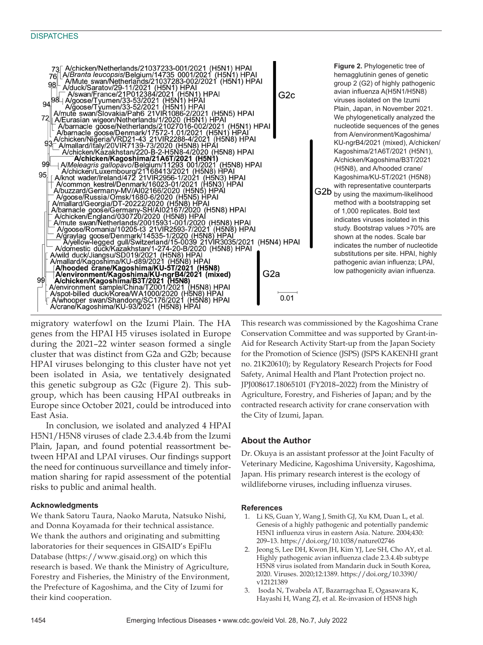

genes from the HPAI H5 viruses isolated in Europe during the 2021–22 winter season formed a single cluster that was distinct from G2a and G2b; because HPAI viruses belonging to this cluster have not yet been isolated in Asia, we tentatively designated this genetic subgroup as G2c (Figure 2). This subgroup, which has been causing HPAI outbreaks in Europe since October 2021, could be introduced into East Asia.

In conclusion, we isolated and analyzed 4 HPAI H5N1/H5N8 viruses of clade 2.3.4.4b from the Izumi Plain, Japan, and found potential reassortment between HPAI and LPAI viruses. Our findings support the need for continuous surveillance and timely information sharing for rapid assessment of the potential risks to public and animal health.

### **Acknowledgments**

We thank Satoru Taura, Naoko Maruta, Natsuko Nishi, and Donna Koyamada for their technical assistance. We thank the authors and originating and submitting laboratories for their sequences in GISAID's EpiFlu Database (https://www.gisaid.org) on which this research is based. We thank the Ministry of Agriculture, Forestry and Fisheries, the Ministry of the Environment, the Prefecture of Kagoshima, and the City of Izumi for their kind cooperation.

This research was commissioned by the Kagoshima Crane Conservation Committee and was supported by Grant-in-Aid for Research Activity Start-up from the Japan Society for the Promotion of Science (JSPS) (JSPS KAKENHI grant no. 21K20610); by Regulatory Research Projects for Food Safety, Animal Health and Plant Protection project no. JPJ008617.18065101 (FY2018–2022) from the Ministry of Agriculture, Forestry, and Fisheries of Japan; and by the contracted research activity for crane conservation with the City of Izumi, Japan.

## **About the Author**

Dr. Okuya is an assistant professor at the Joint Faculty of Veterinary Medicine, Kagoshima University, Kagoshima, Japan. His primary research interest is the ecology of wildlifeborne viruses, including influenza viruses.

### **References**

- 1. Li KS, Guan Y, Wang J, Smith GJ, Xu KM, Duan L, et al. Genesis of a highly pathogenic and potentially pandemic H5N1 influenza virus in eastern Asia. Nature. 2004;430: 209–13. https://doi.org/10.1038/nature02746
- 2. Jeong S, Lee DH, Kwon JH, Kim YJ, Lee SH, Cho AY, et al. Highly pathogenic avian influenza clade 2.3.4.4b subtype H5N8 virus isolated from Mandarin duck in South Korea, 2020. Viruses. 2020;12:1389. https://doi.org/10.3390/ v12121389
- 3. Isoda N, Twabela AT, Bazarragchaa E, Ogasawara K, Hayashi H, Wang ZJ, et al. Re-invasion of H5N8 high